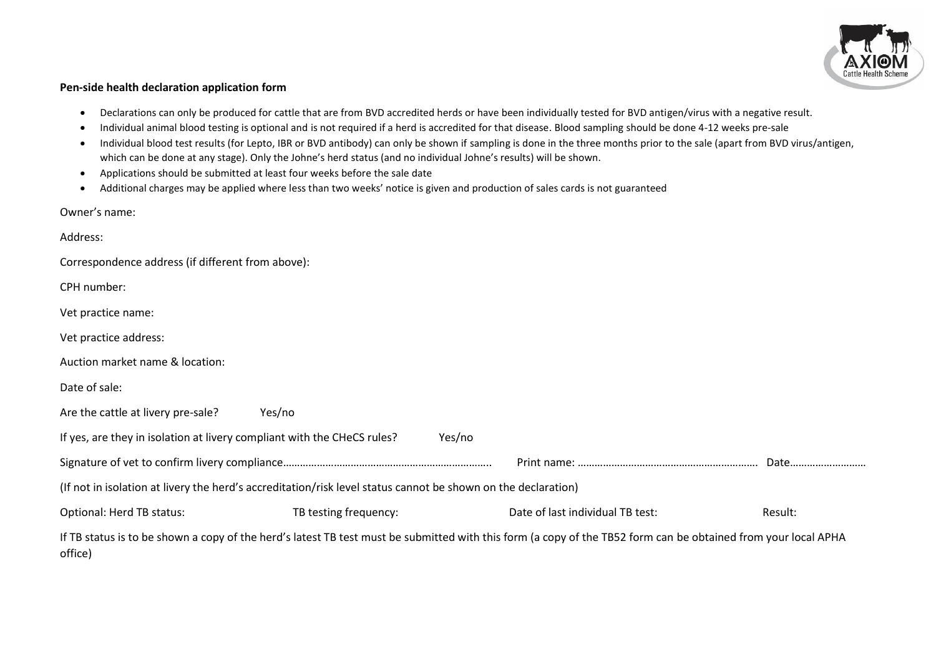

## **Pen-side health declaration application form**

- Declarations can only be produced for cattle that are from BVD accredited herds or have been individually tested for BVD antigen/virus with a negative result.
- Individual animal blood testing is optional and is not required if a herd is accredited for that disease. Blood sampling should be done 4-12 weeks pre-sale
- Individual blood test results (for Lepto, IBR or BVD antibody) can only be shown if sampling is done in the three months prior to the sale (apart from BVD virus/antigen, which can be done at any stage). Only the Johne's herd status (and no individual Johne's results) will be shown.
- Applications should be submitted at least four weeks before the sale date
- Additional charges may be applied where less than two weeks' notice is given and production of sales cards is not guaranteed

Owner's name:

| Address:                                                                                                      |                       |        |                                                                                                                                                                |         |
|---------------------------------------------------------------------------------------------------------------|-----------------------|--------|----------------------------------------------------------------------------------------------------------------------------------------------------------------|---------|
| Correspondence address (if different from above):                                                             |                       |        |                                                                                                                                                                |         |
| CPH number:                                                                                                   |                       |        |                                                                                                                                                                |         |
| Vet practice name:                                                                                            |                       |        |                                                                                                                                                                |         |
| Vet practice address:                                                                                         |                       |        |                                                                                                                                                                |         |
| Auction market name & location:                                                                               |                       |        |                                                                                                                                                                |         |
| Date of sale:                                                                                                 |                       |        |                                                                                                                                                                |         |
| Are the cattle at livery pre-sale?                                                                            | Yes/no                |        |                                                                                                                                                                |         |
| If yes, are they in isolation at livery compliant with the CHeCS rules?                                       |                       | Yes/no |                                                                                                                                                                |         |
|                                                                                                               |                       |        |                                                                                                                                                                | Date    |
| (If not in isolation at livery the herd's accreditation/risk level status cannot be shown on the declaration) |                       |        |                                                                                                                                                                |         |
| Optional: Herd TB status:                                                                                     | TB testing frequency: |        | Date of last individual TB test:                                                                                                                               | Result: |
| office)                                                                                                       |                       |        | If TB status is to be shown a copy of the herd's latest TB test must be submitted with this form (a copy of the TB52 form can be obtained from your local APHA |         |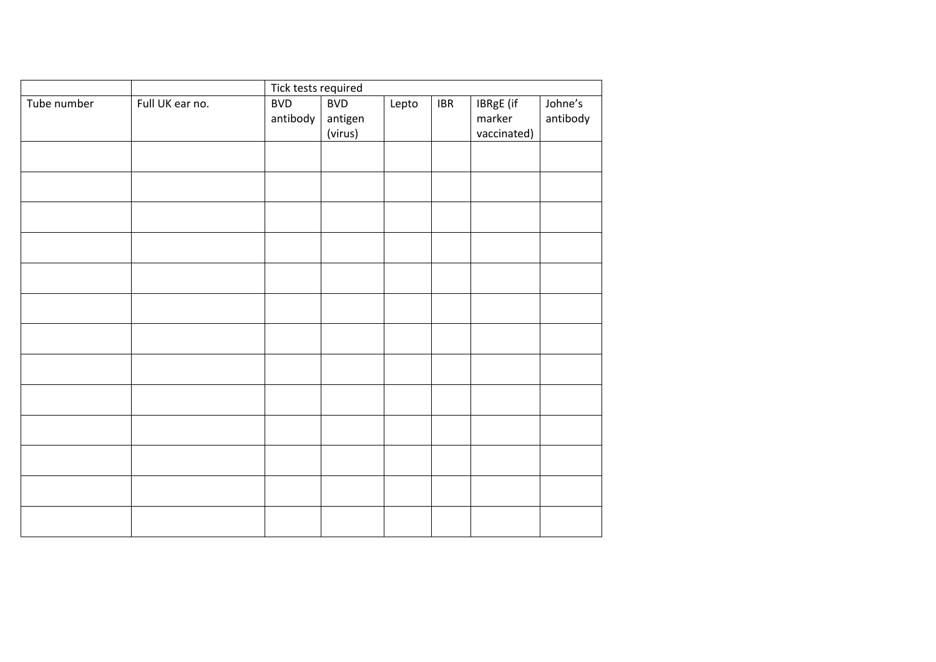|             |                 | Tick tests required |                    |       |                             |                       |          |  |
|-------------|-----------------|---------------------|--------------------|-------|-----------------------------|-----------------------|----------|--|
| Tube number | Full UK ear no. | <b>BVD</b>          | <b>BVD</b>         | Lepto | $\ensuremath{\mathsf{IBR}}$ | <b>IBRgE</b> (if      | Johne's  |  |
|             |                 | antibody            | antigen<br>(virus) |       |                             | marker<br>vaccinated) | antibody |  |
|             |                 |                     |                    |       |                             |                       |          |  |
|             |                 |                     |                    |       |                             |                       |          |  |
|             |                 |                     |                    |       |                             |                       |          |  |
|             |                 |                     |                    |       |                             |                       |          |  |
|             |                 |                     |                    |       |                             |                       |          |  |
|             |                 |                     |                    |       |                             |                       |          |  |
|             |                 |                     |                    |       |                             |                       |          |  |
|             |                 |                     |                    |       |                             |                       |          |  |
|             |                 |                     |                    |       |                             |                       |          |  |
|             |                 |                     |                    |       |                             |                       |          |  |
|             |                 |                     |                    |       |                             |                       |          |  |
|             |                 |                     |                    |       |                             |                       |          |  |
|             |                 |                     |                    |       |                             |                       |          |  |
|             |                 |                     |                    |       |                             |                       |          |  |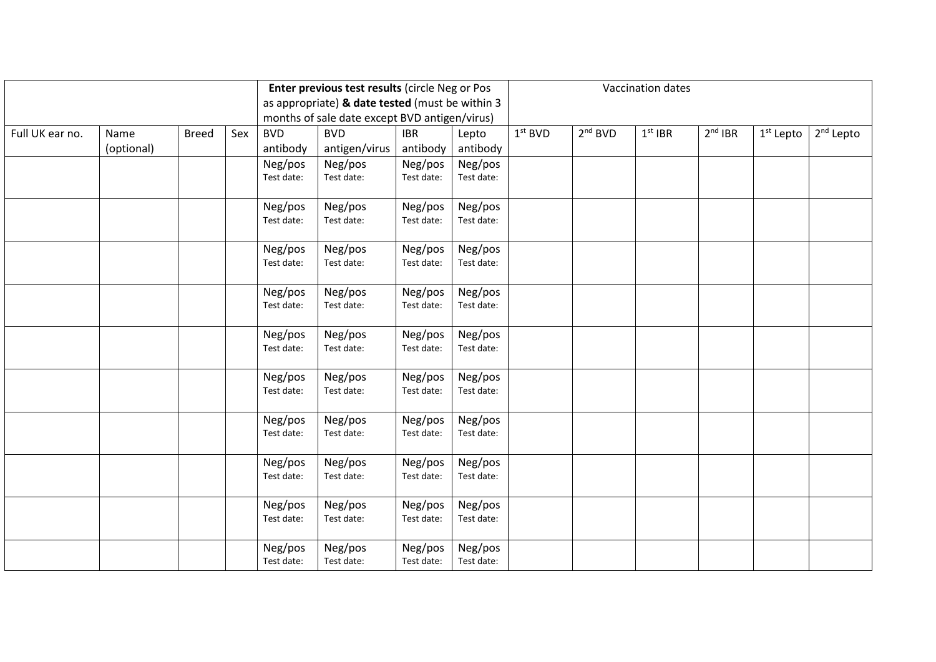|                 |            |              |     | Enter previous test results (circle Neg or Pos  |                               |                       |                       |           | Vaccination dates   |           |           |             |                       |
|-----------------|------------|--------------|-----|-------------------------------------------------|-------------------------------|-----------------------|-----------------------|-----------|---------------------|-----------|-----------|-------------|-----------------------|
|                 |            |              |     | as appropriate) & date tested (must be within 3 |                               |                       |                       |           |                     |           |           |             |                       |
|                 |            |              |     | months of sale date except BVD antigen/virus)   |                               |                       |                       |           |                     |           |           |             |                       |
| Full UK ear no. | Name       | <b>Breed</b> | Sex | <b>BVD</b>                                      | <b>BVD</b>                    | <b>IBR</b>            | Lepto                 | $1st$ BVD | 2 <sup>nd</sup> BVD | $1st$ IBR | $2nd$ IBR | $1st$ Lepto | 2 <sup>nd</sup> Lepto |
|                 | (optional) |              |     | antibody                                        | antigen/virus                 | antibody              | antibody              |           |                     |           |           |             |                       |
|                 |            |              |     | Neg/pos                                         | Neg/pos                       | Neg/pos               | Neg/pos               |           |                     |           |           |             |                       |
|                 |            |              |     | Test date:                                      | Test date:                    | Test date:            | Test date:            |           |                     |           |           |             |                       |
|                 |            |              |     |                                                 |                               |                       |                       |           |                     |           |           |             |                       |
|                 |            |              |     | Neg/pos                                         | Neg/pos                       | Neg/pos               | Neg/pos               |           |                     |           |           |             |                       |
|                 |            |              |     | Test date:                                      | Test date:                    | Test date:            | Test date:            |           |                     |           |           |             |                       |
|                 |            |              |     |                                                 |                               |                       |                       |           |                     |           |           |             |                       |
|                 |            |              |     | Neg/pos                                         | Neg/pos                       | Neg/pos               | Neg/pos               |           |                     |           |           |             |                       |
|                 |            |              |     | Test date:                                      | Test date:                    | Test date:            | Test date:            |           |                     |           |           |             |                       |
|                 |            |              |     | Neg/pos                                         | Neg/pos<br>Neg/pos<br>Neg/pos |                       |                       |           |                     |           |           |             |                       |
|                 |            |              |     | Test date:                                      | Test date:                    | Test date:            | Test date:            |           |                     |           |           |             |                       |
|                 |            |              |     |                                                 |                               |                       |                       |           |                     |           |           |             |                       |
|                 |            |              |     | Neg/pos                                         | Neg/pos                       | Neg/pos               | Neg/pos               |           |                     |           |           |             |                       |
|                 |            |              |     | Test date:                                      | Test date:                    | Test date:            | Test date:            |           |                     |           |           |             |                       |
|                 |            |              |     |                                                 |                               |                       |                       |           |                     |           |           |             |                       |
|                 |            |              |     | Neg/pos                                         | Neg/pos                       | Neg/pos               | Neg/pos               |           |                     |           |           |             |                       |
|                 |            |              |     | Test date:                                      | Test date:                    | Test date:            | Test date:            |           |                     |           |           |             |                       |
|                 |            |              |     |                                                 |                               |                       |                       |           |                     |           |           |             |                       |
|                 |            |              |     | Neg/pos                                         | Neg/pos                       | Neg/pos               | Neg/pos               |           |                     |           |           |             |                       |
|                 |            |              |     | Test date:                                      | Test date:                    | Test date:            | Test date:            |           |                     |           |           |             |                       |
|                 |            |              |     |                                                 | Neg/pos                       |                       |                       |           |                     |           |           |             |                       |
|                 |            |              |     | Neg/pos<br>Test date:                           | Test date:                    | Neg/pos<br>Test date: | Neg/pos<br>Test date: |           |                     |           |           |             |                       |
|                 |            |              |     |                                                 |                               |                       |                       |           |                     |           |           |             |                       |
|                 |            |              |     | Neg/pos                                         | Neg/pos                       | Neg/pos               | Neg/pos               |           |                     |           |           |             |                       |
|                 |            |              |     | Test date:                                      | Test date:                    | Test date:            | Test date:            |           |                     |           |           |             |                       |
|                 |            |              |     |                                                 |                               |                       |                       |           |                     |           |           |             |                       |
|                 |            |              |     | Neg/pos                                         | Neg/pos                       | Neg/pos               | Neg/pos               |           |                     |           |           |             |                       |
|                 |            |              |     | Test date:                                      | Test date:                    | Test date:            | Test date:            |           |                     |           |           |             |                       |